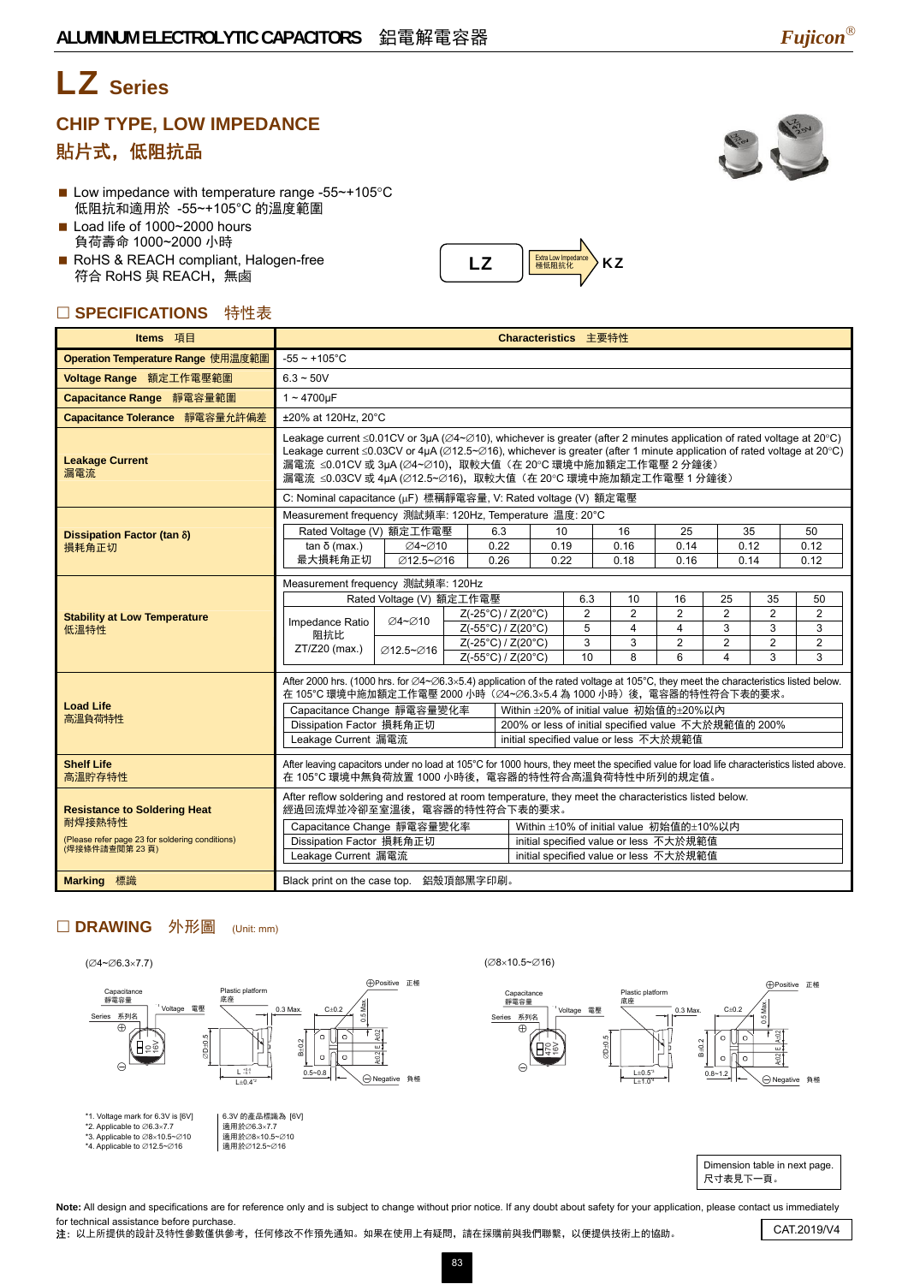## LZ **Series**

### **CHIP TYPE, LOW IMPEDANCE**  貼片式,低阻抗品

- Low impedance with temperature range -55~+105°C 低阻抗和適用於 -55~+105°C 的溫度範圍
- Load life of 1000~2000 hours 負荷壽命 1000~2000 小時
- RoHS & REACH compliant, Halogen-free 符合 RoHS 與 REACH,無鹵

#### □ SPECIFICATIONS 特性表

| Items 項目                                                         | Characteristics 主要特性                                                                                                                                                                                                                                                                                                                                                                                                                               |           |  |                                          |                          |                |                |                                                                                  |                                           |                     |            |
|------------------------------------------------------------------|----------------------------------------------------------------------------------------------------------------------------------------------------------------------------------------------------------------------------------------------------------------------------------------------------------------------------------------------------------------------------------------------------------------------------------------------------|-----------|--|------------------------------------------|--------------------------|----------------|----------------|----------------------------------------------------------------------------------|-------------------------------------------|---------------------|------------|
| Operation Temperature Range 使用温度範圍                               | $-55 - +105$ °C                                                                                                                                                                                                                                                                                                                                                                                                                                    |           |  |                                          |                          |                |                |                                                                                  |                                           |                     |            |
| Voltage Range 額定工作電壓範圍                                           | $6.3 - 50V$                                                                                                                                                                                                                                                                                                                                                                                                                                        |           |  |                                          |                          |                |                |                                                                                  |                                           |                     |            |
| Capacitance Range 靜電容量範圍                                         | $1 - 4700$ uF                                                                                                                                                                                                                                                                                                                                                                                                                                      |           |  |                                          |                          |                |                |                                                                                  |                                           |                     |            |
| Capacitance Tolerance 靜電容量允許偏差                                   | ±20% at 120Hz, 20°C                                                                                                                                                                                                                                                                                                                                                                                                                                |           |  |                                          |                          |                |                |                                                                                  |                                           |                     |            |
| <b>Leakage Current</b><br>漏電流                                    | Leakage current $\leq 0.01$ CV or 3µA ( $\varnothing$ 4~ $\varnothing$ 10), whichever is greater (after 2 minutes application of rated voltage at 20°C)<br>Leakage current $\leq 0.03$ CV or 4µA ( $\varnothing$ 12.5~ $\varnothing$ 16), whichever is greater (after 1 minute application of rated voltage at 20°C)<br>漏電流 ≤0.01CV 或 3µA (∅4~∅10),取較大值 (在 20°C 環境中施加額定工作電壓 2 分鐘後)<br>漏電流 ≤0.03CV 或 4µA (∅12.5~∅16),取較大值(在 20°C 環境中施加額定工作電壓 1 分鐘後) |           |  |                                          |                          |                |                |                                                                                  |                                           |                     |            |
|                                                                  | C: Nominal capacitance (µF) 標稱靜電容量, V: Rated voltage (V) 額定電壓                                                                                                                                                                                                                                                                                                                                                                                      |           |  |                                          |                          |                |                |                                                                                  |                                           |                     |            |
|                                                                  | Measurement frequency 測試頻率: 120Hz, Temperature 温度: 20°C                                                                                                                                                                                                                                                                                                                                                                                            |           |  |                                          |                          |                |                |                                                                                  |                                           |                     |            |
| Dissipation Factor (tan $\delta$ )<br>損耗角正切                      | Rated Voltage (V) 額定工作電壓<br>$tan δ$ (max.)                                                                                                                                                                                                                                                                                                                                                                                                         | ∅4~∅10    |  | 6.3<br>0.22                              | 10<br>0.19               |                | 16<br>0.16     | 25<br>0.14                                                                       |                                           | 35<br>0.12          | 50<br>0.12 |
|                                                                  | 最大損耗角正切                                                                                                                                                                                                                                                                                                                                                                                                                                            | Ø12.5~Ø16 |  | 0.26                                     | 0.22                     |                | 0.18           | 0.16                                                                             |                                           | 0.14                | 0.12       |
|                                                                  | Measurement frequency 測試頻率: 120Hz                                                                                                                                                                                                                                                                                                                                                                                                                  |           |  |                                          |                          |                |                |                                                                                  |                                           |                     |            |
|                                                                  | Rated Voltage (V) 額定工作電壓<br>6.3<br>10<br>16<br>25<br>35                                                                                                                                                                                                                                                                                                                                                                                            |           |  |                                          |                          |                |                |                                                                                  |                                           | 50                  |            |
| <b>Stability at Low Temperature</b>                              | Impedance Ratio<br>阻抗比<br>ZT/Z20 (max.)                                                                                                                                                                                                                                                                                                                                                                                                            | ⊘4~⊘10    |  | Z(-25°C) / Z(20°C)                       |                          | $\overline{2}$ | $\overline{2}$ | 2                                                                                | $\overline{2}$                            | $\overline{2}$      | 2          |
| 低溫特性                                                             |                                                                                                                                                                                                                                                                                                                                                                                                                                                    |           |  | Z(-55°C) / Z(20°C)<br>Z(-25°C) / Z(20°C) |                          | 5<br>3         | $\overline{4}$ | 4                                                                                | 3                                         | 3                   | 3          |
|                                                                  |                                                                                                                                                                                                                                                                                                                                                                                                                                                    | ∅12.5~Ø16 |  |                                          | 10<br>Z(-55°C) / Z(20°C) |                | 3<br>8         | $\overline{2}$<br>6                                                              | $\overline{2}$<br>$\overline{\mathbf{A}}$ | $\overline{2}$<br>3 | 2<br>3     |
|                                                                  |                                                                                                                                                                                                                                                                                                                                                                                                                                                    |           |  |                                          |                          |                |                |                                                                                  |                                           |                     |            |
|                                                                  | After 2000 hrs. (1000 hrs. for $\varnothing$ 4~ $\varnothing$ 6.3×5.4) application of the rated voltage at 105°C, they meet the characteristics listed below.<br>在 105°C 環境中施加額定工作電壓 2000 小時 (Ø4~Ø6.3×5.4 為 1000 小時) 後, 電容器的特性符合下表的要求。                                                                                                                                                                                                             |           |  |                                          |                          |                |                |                                                                                  |                                           |                     |            |
| <b>Load Life</b>                                                 | Capacitance Change 靜電容量變化率                                                                                                                                                                                                                                                                                                                                                                                                                         |           |  |                                          |                          |                |                | Within ±20% of initial value 初始值的±20%以內                                          |                                           |                     |            |
| 高溫負荷特性                                                           | Dissipation Factor 損耗角正切                                                                                                                                                                                                                                                                                                                                                                                                                           |           |  |                                          |                          |                |                | 200% or less of initial specified value 不大於規範值的 200%                             |                                           |                     |            |
|                                                                  | Leakage Current 漏電流<br>initial specified value or less 不大於規範值                                                                                                                                                                                                                                                                                                                                                                                      |           |  |                                          |                          |                |                |                                                                                  |                                           |                     |            |
| <b>Shelf Life</b><br>高溫貯存特性                                      | After leaving capacitors under no load at 105°C for 1000 hours, they meet the specified value for load life characteristics listed above.<br>在 105℃ 環境中無負荷放置 1000 小時後,電容器的特性符合高溫負荷特性中所列的規定值。                                                                                                                                                                                                                                                       |           |  |                                          |                          |                |                |                                                                                  |                                           |                     |            |
| <b>Resistance to Soldering Heat</b>                              | After reflow soldering and restored at room temperature, they meet the characteristics listed below.<br>經過回流焊並冷卻至室溫後,電容器的特性符合下表的要求。                                                                                                                                                                                                                                                                                                                |           |  |                                          |                          |                |                |                                                                                  |                                           |                     |            |
| 耐焊接熱特性                                                           | Capacitance Change 靜電容量變化率                                                                                                                                                                                                                                                                                                                                                                                                                         |           |  |                                          |                          |                |                | Within ±10% of initial value 初始值的±10%以内                                          |                                           |                     |            |
| (Please refer page 23 for soldering conditions)<br>(焊接條件請查閱第23頁) | Dissipation Factor 損耗角正切<br>Leakage Current 漏電流                                                                                                                                                                                                                                                                                                                                                                                                    |           |  |                                          |                          |                |                | initial specified value or less 不大於規範值<br>initial specified value or less 不大於規範值 |                                           |                     |            |
|                                                                  |                                                                                                                                                                                                                                                                                                                                                                                                                                                    |           |  |                                          |                          |                |                |                                                                                  |                                           |                     |            |
| <b>Marking 標識</b>                                                | Black print on the case top. 鋁殼頂部黑字印刷。                                                                                                                                                                                                                                                                                                                                                                                                             |           |  |                                          |                          |                |                |                                                                                  |                                           |                     |            |

 $\textsf{LZ}$   $\left|\frac{\text{Extadow } \textsf{imposedance}}{\text{Re} \textsf{K} \textsf{R} \textsf{R} \textsf{R} \textsf{R}}\right\rangle$ KZ

#### □ DRAWING 外形圖 (Unit: mm)





Note: All design and specifications are for reference only and is subject to change without prior notice. If any doubt about safety for your application, please contact us immediately for technical assistance before purchase. nor technical assistance before purchase.<br>注:以上所提供的設計及特性參數僅供參考,任何修改不作預先通知。如果在使用上有疑問,請在採購前與我們聯繫,以便提供技術上的協助。 CAT.2019/V4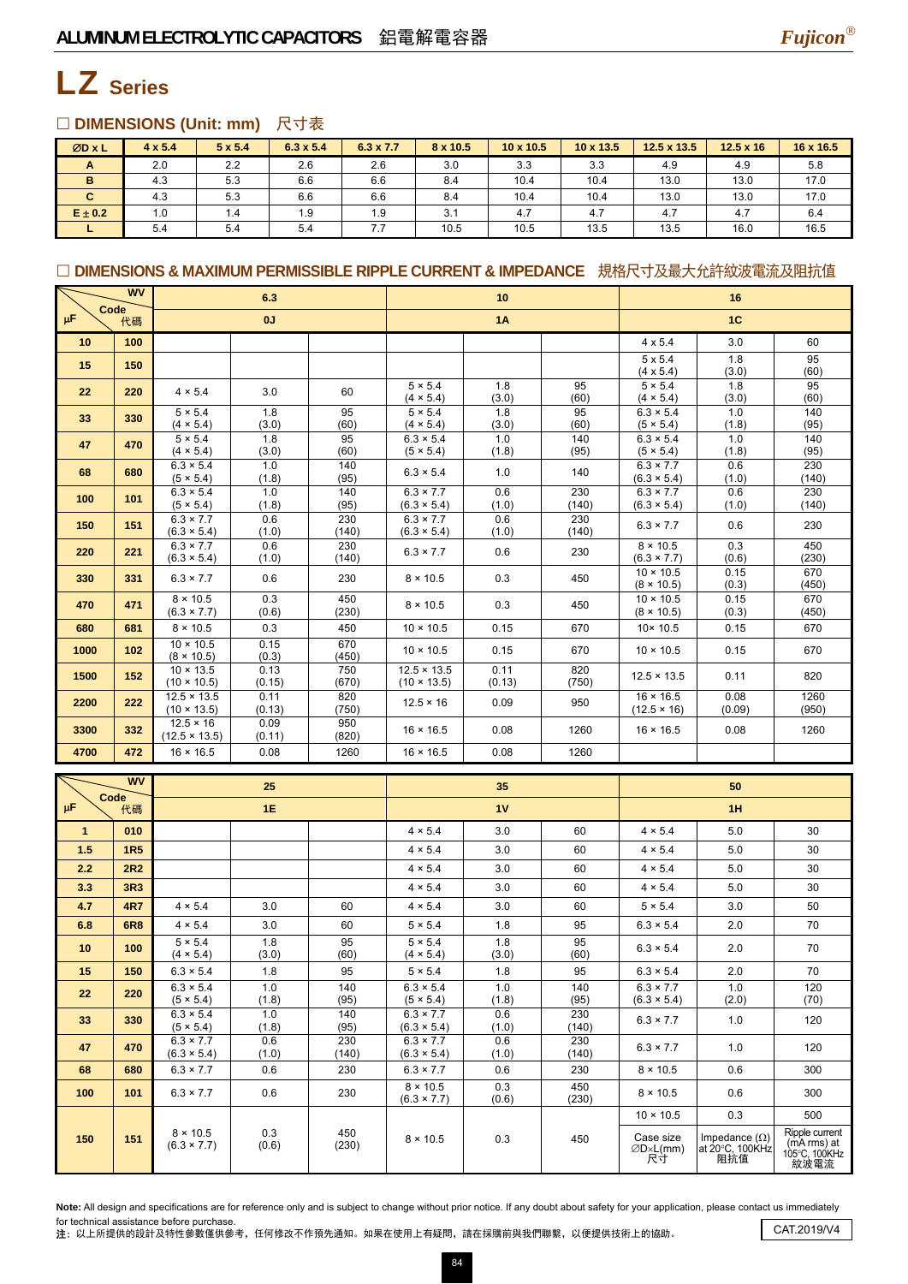

## LZ **Series**

#### □ DIMENSIONS (Unit: mm) 尺寸表

| ØDxL        | $4 \times 5.4$ | $5 \times 5.4$ | $6.3 \times 5.4$ | $6.3 \times 7.7$ | 8 x 10.5 | $10 \times 10.5$ | $10 \times 13.5$ | $12.5 \times 13.5$ | $12.5 \times 16$ | 16 x 16.5 |
|-------------|----------------|----------------|------------------|------------------|----------|------------------|------------------|--------------------|------------------|-----------|
| A           | 2.0            | 2.2            | 2.6              | 2.6              | 3.0      | 3.3              | 3.3              | 4.9                | 4.9              | 5.8       |
| в           | 4.3            | 5.3            | 6.6              | 6.6              | 8.4      | 10.4             | 10.4             | 13.0               | 13.0             | 17.0      |
| C.          | 4.3            | 5.3            | 6.6              | 6.6              | 8.4      | 10.4             | 10.4             | 13.0               | 13.0             | 17.0      |
| $E \pm 0.2$ | 1.0            | 1.4            | 1.9              | 1.9              | 3.1      | 4.7              | 4.7              | 4.7                | 4.7              | 6.4       |
|             | 5.4            | 5.4            | 5.4              | 7.7              | 10.5     | 10.5             | 13.5             | 13.5               | 16.0             | 16.5      |

#### □ DIMENSIONS & MAXIMUM PERMISSIBLE RIPPLE CURRENT & IMPEDANCE 規格尺寸及最大允許紋波電流及阻抗值

|                 | <b>WV</b> | 6.3                                               |                       |                     | 10                                       |                | 16           |                                                     |                       |                      |
|-----------------|-----------|---------------------------------------------------|-----------------------|---------------------|------------------------------------------|----------------|--------------|-----------------------------------------------------|-----------------------|----------------------|
| Code<br>$\mu$ F | 代碼        |                                                   | 0J                    |                     | <b>1A</b>                                |                | 1C           |                                                     |                       |                      |
| 10              | 100       |                                                   |                       |                     |                                          |                |              | $4 \times 5.4$                                      | 3.0                   | 60                   |
| 15              | 150       |                                                   |                       |                     |                                          |                |              | $5 \times 5.4$<br>$(4 \times 5.4)$                  | 1.8<br>(3.0)          | 95<br>(60)           |
| 22              | 220       | $4 \times 5.4$                                    | 3.0                   | 60                  | $5 \times 5.4$<br>$(4 \times 5.4)$       | 1.8<br>(3.0)   | 95<br>(60)   | $5 \times 5.4$<br>$(4 \times 5.4)$                  | 1.8<br>(3.0)          | 95<br>(60)           |
| 33              | 330       | $5 \times 5.4$<br>$(4 \times 5.4)$                | 1.8<br>(3.0)          | 95<br>(60)          | $5 \times 5.4$<br>$(4 \times 5.4)$       | 1.8<br>(3.0)   | 95<br>(60)   | $6.3 \times 5.4$<br>(5 × 5.4)                       | 1.0<br>(1.8)          | 140<br>(95)          |
| 47              | 470       | $5 \times 5.4$                                    | 1.8                   | 95                  | $6.3 \times 5.4$                         | 1.0            | 140          | $6.3 \times 5.4$                                    | 1.0                   | 140                  |
| 68              | 680       | $(4 \times 5.4)$<br>$6.3 \times 5.4$<br>(5 × 5.4) | (3.0)<br>1.0<br>(1.8) | (60)<br>140<br>(95) | (5 × 5.4)<br>$6.3 \times 5.4$            | (1.8)<br>1.0   | (95)<br>140  | (5 × 5.4)<br>$6.3 \times 7.7$<br>$(6.3 \times 5.4)$ | (1.8)<br>0.6<br>(1.0) | (95)<br>230<br>(140) |
| 100             | 101       | $6.3 \times 5.4$<br>(5 × 5.4)                     | 1.0<br>(1.8)          | 140<br>(95)         | $6.3 \times 7.7$<br>$(6.3 \times 5.4)$   | 0.6<br>(1.0)   | 230<br>(140) | $6.3 \times 7.7$<br>$(6.3 \times 5.4)$              | 0.6<br>(1.0)          | 230<br>(140)         |
| 150             | 151       | $6.3 \times 7.7$<br>$(6.3 \times 5.4)$            | 0.6<br>(1.0)          | 230<br>(140)        | $6.3 \times 7.7$<br>$(6.3 \times 5.4)$   | 0.6<br>(1.0)   | 230<br>(140) | $6.3 \times 7.7$                                    | 0.6                   | 230                  |
| 220             | 221       | $6.3 \times 7.7$<br>$(6.3 \times 5.4)$            | 0.6<br>(1.0)          | 230<br>(140)        | $6.3 \times 7.7$                         | 0.6            | 230          | $8 \times 10.5$<br>$(6.3 \times 7.7)$               | 0.3<br>(0.6)          | 450<br>(230)         |
| 330             | 331       | $6.3 \times 7.7$                                  | 0.6                   | 230                 | $8 \times 10.5$                          | 0.3            | 450          | $10 \times 10.5$<br>$(8 \times 10.5)$               | 0.15<br>(0.3)         | 670<br>(450)         |
| 470             | 471       | $8 \times 10.5$<br>$(6.3 \times 7.7)$             | 0.3<br>(0.6)          | 450<br>(230)        | $8 \times 10.5$                          | 0.3            | 450          | $10 \times 10.5$<br>$(8 \times 10.5)$               | 0.15<br>(0.3)         | 670<br>(450)         |
| 680             | 681       | $8 \times 10.5$                                   | 0.3                   | 450                 | $10 \times 10.5$                         | 0.15           | 670          | $10 \times 10.5$                                    | 0.15                  | 670                  |
| 1000            | 102       | $10 \times 10.5$<br>$(8 \times 10.5)$             | 0.15<br>(0.3)         | 670<br>(450)        | $10 \times 10.5$                         | 0.15           | 670          | $10 \times 10.5$                                    | 0.15                  | 670                  |
| 1500            | 152       | $10 \times 13.5$<br>$(10 \times 10.5)$            | 0.13<br>(0.15)        | 750<br>(670)        | $12.5 \times 13.5$<br>$(10 \times 13.5)$ | 0.11<br>(0.13) | 820<br>(750) | $12.5 \times 13.5$                                  | 0.11                  | 820                  |
| 2200            | 222       | $12.5 \times 13.5$<br>$(10 \times 13.5)$          | 0.11<br>(0.13)        | 820<br>(750)        | $12.5 \times 16$                         | 0.09           | 950          | $16 \times 16.5$<br>$(12.5 \times 16)$              | 0.08<br>(0.09)        | 1260<br>(950)        |
| 3300            | 332       | $12.5 \times 16$<br>$(12.5 \times 13.5)$          | 0.09<br>(0.11)        | 950<br>(820)        | $16 \times 16.5$                         | 0.08           | 1260         | $16 \times 16.5$                                    | 0.08                  | 1260                 |
| 4700            | 472       | $16 \times 16.5$                                  | 0.08                  | 1260                | $16 \times 16.5$                         | 0.08           | 1260         |                                                     |                       |                      |

| <b>WV</b><br>25<br>Code<br>$\mu$ F<br>1E<br>代碼 |                 |                                        |              |              |                                        | 35           |              | 50                                     |                                                |                                                        |  |
|------------------------------------------------|-----------------|----------------------------------------|--------------|--------------|----------------------------------------|--------------|--------------|----------------------------------------|------------------------------------------------|--------------------------------------------------------|--|
|                                                |                 |                                        | 1V           |              | 1H                                     |              |              |                                        |                                                |                                                        |  |
| $\mathbf{1}$                                   | 010             |                                        |              |              | $4 \times 5.4$                         | 3.0          | 60           | $4 \times 5.4$                         | 5.0                                            | 30                                                     |  |
| 1.5                                            | <b>1R5</b>      |                                        |              |              | $4 \times 5.4$                         | 3.0          | 60           | $4 \times 5.4$                         | 5.0                                            | 30                                                     |  |
| 2.2                                            | 2R <sub>2</sub> |                                        |              |              | $4 \times 5.4$                         | 3.0          | 60           | $4 \times 5.4$                         | 5.0                                            | 30                                                     |  |
| 3.3                                            | 3R3             |                                        |              |              | $4 \times 5.4$                         | 3.0          | 60           | $4 \times 5.4$                         | 5.0                                            | 30                                                     |  |
| 4.7                                            | <b>4R7</b>      | $4 \times 5.4$                         | 3.0          | 60           | $4 \times 5.4$                         | 3.0          | 60           | $5 \times 5.4$                         | 3.0                                            | 50                                                     |  |
| 6.8                                            | <b>6R8</b>      | $4 \times 5.4$                         | 3.0          | 60           | $5 \times 5.4$                         | 1.8          | 95           | $6.3 \times 5.4$                       | 2.0                                            | 70                                                     |  |
| 10                                             | 100             | $5 \times 5.4$<br>$(4 \times 5.4)$     | 1.8<br>(3.0) | 95<br>(60)   | $5 \times 5.4$<br>$(4 \times 5.4)$     | 1.8<br>(3.0) | 95<br>(60)   | $6.3 \times 5.4$                       | 2.0                                            | 70                                                     |  |
| 15                                             | 150             | $6.3 \times 5.4$                       | 1.8          | 95           | $5 \times 5.4$                         | 1.8          | 95           | $6.3 \times 5.4$                       | 2.0                                            | 70                                                     |  |
| 22                                             | 220             | $6.3 \times 5.4$<br>(5 × 5.4)          | 1.0<br>(1.8) | 140<br>(95)  | $6.3 \times 5.4$<br>(5 × 5.4)          | 1.0<br>(1.8) | 140<br>(95)  | $6.3 \times 7.7$<br>$(6.3 \times 5.4)$ | 1.0<br>(2.0)                                   | 120<br>(70)                                            |  |
| 33                                             | 330             | $6.3 \times 5.4$<br>(5 × 5.4)          | 1.0<br>(1.8) | 140<br>(95)  | $6.3 \times 7.7$<br>$(6.3 \times 5.4)$ | 0.6<br>(1.0) | 230<br>(140) | $6.3 \times 7.7$                       | 1.0                                            | 120                                                    |  |
| 47                                             | 470             | $6.3 \times 7.7$<br>$(6.3 \times 5.4)$ | 0.6<br>(1.0) | 230<br>(140) | $6.3 \times 7.7$<br>$(6.3 \times 5.4)$ | 0.6<br>(1.0) | 230<br>(140) | $6.3 \times 7.7$                       | 1.0                                            | 120                                                    |  |
| 68                                             | 680             | $6.3 \times 7.7$                       | 0.6          | 230          | $6.3 \times 7.7$                       | 0.6          | 230          | $8 \times 10.5$                        | 0.6                                            | 300                                                    |  |
| 100                                            | 101             | $6.3 \times 7.7$                       | 0.6          | 230          | $8 \times 10.5$<br>$(6.3 \times 7.7)$  | 0.3<br>(0.6) | 450<br>(230) | $8 \times 10.5$                        | 0.6                                            | 300                                                    |  |
|                                                |                 |                                        |              |              |                                        |              |              | $10 \times 10.5$                       | 0.3                                            | 500                                                    |  |
| 150                                            | 151             | $8 \times 10.5$<br>$(6.3 \times 7.7)$  | 0.3<br>(0.6) | 450<br>(230) | $8 \times 10.5$                        | 0.3          | 450          | Case size<br>∅D×L(mm)<br>尺寸            | Impedance $(\Omega)$<br>at 20°C, 100KHz<br>阻抗值 | Ripple current<br>(mA rms) at<br>105°C, 100KHz<br>紋波電流 |  |

Note: All design and specifications are for reference only and is subject to change without prior notice. If any doubt about safety for your application, please contact us immediately for technical assistance before purchase.

for technical assistance before purchase.<br>注: 以上所提供的設計及特性參數僅供參考,任何修改不作預先通知。如果在使用上有疑問,請在採購前與我們聯繫,以便提供技術上的協助。 CAT.2019/V4